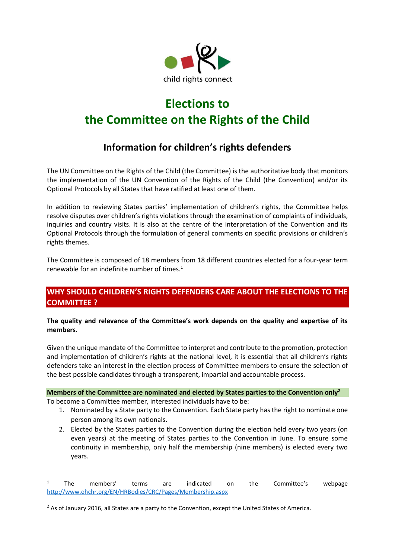

# **Elections to the Committee on the Rights of the Child**

## **Information for children's rights defenders**

The UN Committee on the Rights of the Child (the Committee) is the authoritative body that monitors the implementation of the UN Convention of the Rights of the Child (the Convention) and/or its Optional Protocols by all States that have ratified at least one of them.

In addition to reviewing States parties' implementation of children's rights, the Committee helps resolve disputes over children's rights violations through the examination of complaints of individuals, inquiries and country visits. It is also at the centre of the interpretation of the Convention and its Optional Protocols through the formulation of general comments on specific provisions or children's rights themes.

The Committee is composed of 18 members from 18 different countries elected for a four-year term renewable for an indefinite number of times. $1$ 

## **WHY SHOULD CHILDREN'S RIGHTS DEFENDERS CARE ABOUT THE ELECTIONS TO THE COMMITTEE ?**

**The quality and relevance of the Committee's work depends on the quality and expertise of its members.** 

Given the unique mandate of the Committee to interpret and contribute to the promotion, protection and implementation of children's rights at the national level, it is essential that all children's rights defenders take an interest in the election process of Committee members to ensure the selection of the best possible candidates through a transparent, impartial and accountable process.

## **Members of the Committee are nominated and elected by States parties to the Convention only<sup>2</sup>**

To become a Committee member, interested individuals have to be:

1

- 1. Nominated by a State party to the Convention. Each State party has the right to nominate one person among its own nationals.
- 2. Elected by the States parties to the Convention during the election held every two years (on even years) at the meeting of States parties to the Convention in June. To ensure some continuity in membership, only half the membership (nine members) is elected every two years.

<sup>&</sup>lt;sup>1</sup> The members' terms are indicated on the Committee's webpage <http://www.ohchr.org/EN/HRBodies/CRC/Pages/Membership.aspx>

<sup>&</sup>lt;sup>2</sup> As of January 2016, all States are a party to the Convention, except the United States of America.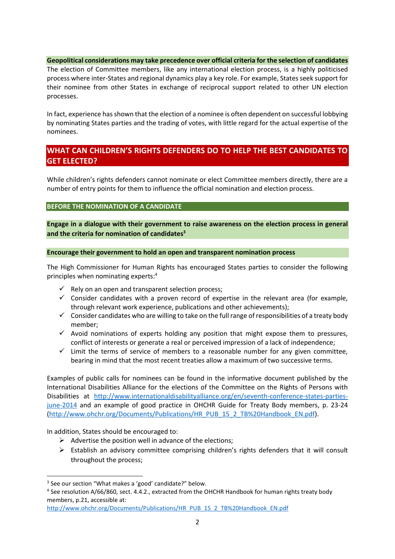#### **Geopolitical considerations may take precedence over official criteria for the selection of candidates**

The election of Committee members, like any international election process, is a highly politicised process where inter-States and regional dynamics play a key role. For example, States seek support for their nominee from other States in exchange of reciprocal support related to other UN election processes.

In fact, experience has shown that the election of a nominee is often dependent on successful lobbying by nominating States parties and the trading of votes, with little regard for the actual expertise of the nominees.

## **WHAT CAN CHILDREN'S RIGHTS DEFENDERS DO TO HELP THE BEST CANDIDATES TO GET ELECTED?**

While children's rights defenders cannot nominate or elect Committee members directly, there are a number of entry points for them to influence the official nomination and election process.

**BEFORE THE NOMINATION OF A CANDIDATE** 

**Engage in a dialogue with their government to raise awareness on the election process in general and the criteria for nomination of candidates<sup>3</sup>**

#### **Encourage their government to hold an open and transparent nomination process**

The High Commissioner for Human Rights has encouraged States parties to consider the following principles when nominating experts:<sup>4</sup>

- $\checkmark$  Rely on an open and transparent selection process;
- $\checkmark$  Consider candidates with a proven record of expertise in the relevant area (for example, through relevant work experience, publications and other achievements);
- $\checkmark$  Consider candidates who are willing to take on the full range of responsibilities of a treaty body member;
- $\checkmark$  Avoid nominations of experts holding any position that might expose them to pressures, conflict of interests or generate a real or perceived impression of a lack of independence;
- $\checkmark$  Limit the terms of service of members to a reasonable number for any given committee, bearing in mind that the most recent treaties allow a maximum of two successive terms.

Examples of public calls for nominees can be found in the informative document published by the International Disabilities Alliance for the elections of the Committee on the Rights of Persons with Disabilities at [http://www.internationaldisabilityalliance.org/en/seventh-conference-states-parties](http://www.internationaldisabilityalliance.org/en/seventh-conference-states-parties-june-2014)[june-2014](http://www.internationaldisabilityalliance.org/en/seventh-conference-states-parties-june-2014) and an example of good practice in OHCHR Guide for Treaty Body members, p. 23-24 [\(http://www.ohchr.org/Documents/Publications/HR\\_PUB\\_15\\_2\\_TB%20Handbook\\_EN.pdf\)](http://www.ohchr.org/Documents/Publications/HR_PUB_15_2_TB%20Handbook_EN.pdf).

In addition, States should be encouraged to:

1

- $\triangleright$  Advertise the position well in advance of the elections;
- $\triangleright$  Establish an advisory committee comprising children's rights defenders that it will consult throughout the process;

[http://www.ohchr.org/Documents/Publications/HR\\_PUB\\_15\\_2\\_TB%20Handbook\\_EN.pdf](http://www.ohchr.org/Documents/Publications/HR_PUB_15_2_TB%20Handbook_EN.pdf)

<sup>&</sup>lt;sup>3</sup> See our section "What makes a 'good' candidate?" below.

<sup>&</sup>lt;sup>4</sup> See resolution A/66/860, sect. 4.4.2., extracted from the OHCHR Handbook for human rights treaty body members, p.21, accessible at: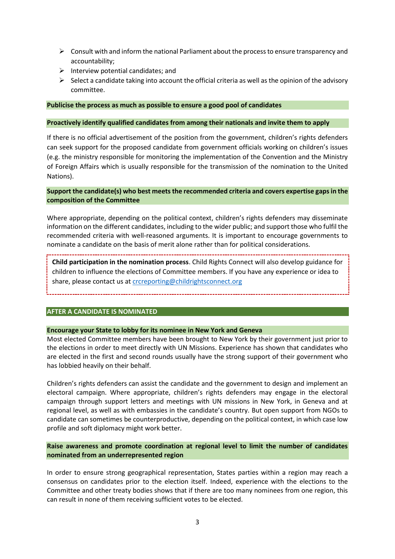- $\triangleright$  Consult with and inform the national Parliament about the process to ensure transparency and accountability;
- $\triangleright$  Interview potential candidates; and
- $\triangleright$  Select a candidate taking into account the official criteria as well as the opinion of the advisory committee.

#### **Publicise the process as much as possible to ensure a good pool of candidates**

#### **Proactively identify qualified candidates from among their nationals and invite them to apply**

If there is no official advertisement of the position from the government, children's rights defenders can seek support for the proposed candidate from government officials working on children's issues (e.g. the ministry responsible for monitoring the implementation of the Convention and the Ministry of Foreign Affairs which is usually responsible for the transmission of the nomination to the United Nations).

#### **Support the candidate(s) who best meets the recommended criteria and covers expertise gaps in the composition of the Committee**

Where appropriate, depending on the political context, children's rights defenders may disseminate information on the different candidates, including to the wider public; and support those who fulfil the recommended criteria with well-reasoned arguments. It is important to encourage governments to nominate a candidate on the basis of merit alone rather than for political considerations.

**Child participation in the nomination process**. Child Rights Connect will also develop guidance for children to influence the elections of Committee members. If you have any experience or idea to share, please contact us at [crcreporting@childrightsconnect.org](mailto:crcreporting@childrightsconnect.org)

## **AFTER A CANDIDATE IS NOMINATED**

#### **Encourage your State to lobby for its nominee in New York and Geneva**

Most elected Committee members have been brought to New York by their government just prior to the elections in order to meet directly with UN Missions. Experience has shown that candidates who are elected in the first and second rounds usually have the strong support of their government who has lobbied heavily on their behalf.

Children's rights defenders can assist the candidate and the government to design and implement an electoral campaign. Where appropriate, children's rights defenders may engage in the electoral campaign through support letters and meetings with UN missions in New York, in Geneva and at regional level, as well as with embassies in the candidate's country. But open support from NGOs to candidate can sometimes be counterproductive, depending on the political context, in which case low profile and soft diplomacy might work better.

#### **Raise awareness and promote coordination at regional level to limit the number of candidates nominated from an underrepresented region**

In order to ensure strong geographical representation, States parties within a region may reach a consensus on candidates prior to the election itself. Indeed, experience with the elections to the Committee and other treaty bodies shows that if there are too many nominees from one region, this can result in none of them receiving sufficient votes to be elected.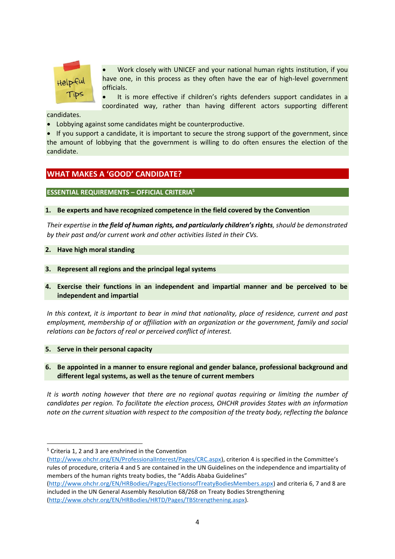

 Work closely with UNICEF and your national human rights institution, if you have one, in this process as they often have the ear of high-level government officials.

 It is more effective if children's rights defenders support candidates in a coordinated way, rather than having different actors supporting different

candidates.

Lobbying against some candidates might be counterproductive.

• If you support a candidate, it is important to secure the strong support of the government, since the amount of lobbying that the government is willing to do often ensures the election of the candidate.

## **WHAT MAKES A 'GOOD' CANDIDATE?**

#### **ESSENTIAL REQUIREMENTS – OFFICIAL CRITERIA<sup>5</sup>**

#### **1. Be experts and have recognized competence in the field covered by the Convention**

*Their expertise in the field of human rights, and particularly children's rights, should be demonstrated by their past and/or current work and other activities listed in their CVs.*

#### **2. Have high moral standing**

- **3. Represent all regions and the principal legal systems**
- **4. Exercise their functions in an independent and impartial manner and be perceived to be independent and impartial**

*In this context, it is important to bear in mind that nationality, place of residence, current and past employment, membership of or affiliation with an organization or the government, family and social relations can be factors of real or perceived conflict of interest.*

#### **5. Serve in their personal capacity**

**.** 

**6. Be appointed in a manner to ensure regional and gender balance, professional background and different legal systems, as well as the tenure of current members**

*It is worth noting however that there are no regional quotas requiring or limiting the number of candidates per region. To facilitate the election process, OHCHR provides States with an information note on the current situation with respect to the composition of the treaty body, reflecting the balance* 

<sup>5</sup> Criteria 1, 2 and 3 are enshrined in the Convention

[<sup>\(</sup>http://www.ohchr.org/EN/ProfessionalInterest/Pages/CRC.aspx\)](http://www.ohchr.org/EN/ProfessionalInterest/Pages/CRC.aspx), criterion 4 is specified in the Committee's rules of procedure, criteria 4 and 5 are contained in the UN Guidelines on the independence and impartiality of members of the human rights treaty bodies, the "Addis Ababa Guidelines"

[<sup>\(</sup>http://www.ohchr.org/EN/HRBodies/Pages/ElectionsofTreatyBodiesMembers.aspx\)](http://www.ohchr.org/EN/HRBodies/Pages/ElectionsofTreatyBodiesMembers.aspx) and criteria 6, 7 and 8 are included in the UN General Assembly Resolution 68/268 on Treaty Bodies Strengthening [\(http://www.ohchr.org/EN/HRBodies/HRTD/Pages/TBStrengthening.aspx\)](http://www.ohchr.org/EN/HRBodies/HRTD/Pages/TBStrengthening.aspx).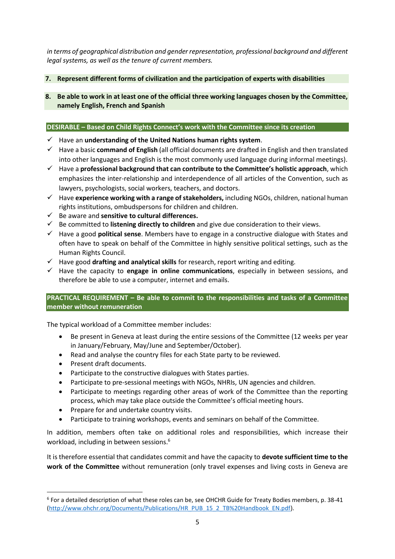*in terms of geographical distribution and gender representation, professional background and different legal systems, as well as the tenure of current members.*

## **7. Represent different forms of civilization and the participation of experts with disabilities**

**8. Be able to work in at least one of the official three working languages chosen by the Committee, namely English, French and Spanish**

#### **DESIRABLE – Based on Child Rights Connect's work with the Committee since its creation**

- Have an **understanding of the United Nations human rights system**.
- Have a basic **command of English** (all official documents are drafted in English and then translated into other languages and English is the most commonly used language during informal meetings).
- Have a **professional background that can contribute to the Committee's holistic approach**, which emphasizes the inter-relationship and interdependence of all articles of the Convention, such as lawyers, psychologists, social workers, teachers, and doctors.
- Have **experience working with a range of stakeholders,** including NGOs, children, national human rights institutions, ombudspersons for children and children.
- Be aware and **sensitive to cultural differences.**
- $\checkmark$  Be committed to **listening directly to children** and give due consideration to their views.
- Have a good **political sense**. Members have to engage in a constructive dialogue with States and often have to speak on behalf of the Committee in highly sensitive political settings, such as the Human Rights Council.
- Have good **drafting and analytical skills** for research, report writing and editing.
- Have the capacity to **engage in online communications**, especially in between sessions, and therefore be able to use a computer, internet and emails.

## **PRACTICAL REQUIREMENT – Be able to commit to the responsibilities and tasks of a Committee member without remuneration**

The typical workload of a Committee member includes:

- Be present in Geneva at least during the entire sessions of the Committee (12 weeks per year in January/February, May/June and September/October).
- Read and analyse the country files for each State party to be reviewed.
- Present draft documents.

1

- Participate to the constructive dialogues with States parties.
- Participate to pre-sessional meetings with NGOs, NHRIs, UN agencies and children.
- Participate to meetings regarding other areas of work of the Committee than the reporting process, which may take place outside the Committee's official meeting hours.
- Prepare for and undertake country visits.
- Participate to training workshops, events and seminars on behalf of the Committee.

In addition, members often take on additional roles and responsibilities, which increase their workload, including in between sessions.<sup>6</sup>

It is therefore essential that candidates commit and have the capacity to **devote sufficient time to the work of the Committee** without remuneration (only travel expenses and living costs in Geneva are

<sup>6</sup> For a detailed description of what these roles can be, see OHCHR Guide for Treaty Bodies members, p. 38-41 [\(http://www.ohchr.org/Documents/Publications/HR\\_PUB\\_15\\_2\\_TB%20Handbook\\_EN.pdf\)](http://www.ohchr.org/Documents/Publications/HR_PUB_15_2_TB%20Handbook_EN.pdf).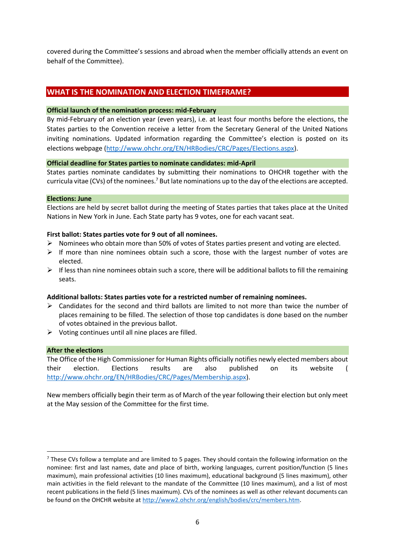covered during the Committee's sessions and abroad when the member officially attends an event on behalf of the Committee).

## **WHAT IS THE NOMINATION AND ELECTION TIMEFRAME?**

#### **Official launch of the nomination process: mid-February**

By mid-February of an election year (even years), i.e. at least four months before the elections, the States parties to the Convention receive a letter from the Secretary General of the United Nations inviting nominations. Updated information regarding the Committee's election is posted on its elections webpage [\(http://www.ohchr.org/EN/HRBodies/CRC/Pages/Elections.aspx\)](http://www.ohchr.org/EN/HRBodies/CRC/Pages/Elections.aspx).

#### **Official deadline for States parties to nominate candidates: mid-April**

States parties nominate candidates by submitting their nominations to OHCHR together with the curricula vitae (CVs) of the nominees.<sup>7</sup> But late nominations up to the day of the elections are accepted.

#### **Elections: June**

Elections are held by secret ballot during the meeting of States parties that takes place at the United Nations in New York in June. Each State party has 9 votes, one for each vacant seat.

#### **First ballot: States parties vote for 9 out of all nominees.**

- $\triangleright$  Nominees who obtain more than 50% of votes of States parties present and voting are elected.
- $\triangleright$  If more than nine nominees obtain such a score, those with the largest number of votes are elected.
- $\triangleright$  If less than nine nominees obtain such a score, there will be additional ballots to fill the remaining seats.

#### **Additional ballots: States parties vote for a restricted number of remaining nominees.**

- $\triangleright$  Candidates for the second and third ballots are limited to not more than twice the number of places remaining to be filled. The selection of those top candidates is done based on the number of votes obtained in the previous ballot.
- $\triangleright$  Voting continues until all nine places are filled.

#### **After the elections**

1

The Office of the High Commissioner for Human Rights officially notifies newly elected members about their election. Elections results are also published on its website ( [http://www.ohchr.org/EN/HRBodies/CRC/Pages/Membership.aspx\)](http://www.ohchr.org/EN/HRBodies/CRC/Pages/Membership.aspx).

New members officially begin their term as of March of the year following their election but only meet at the May session of the Committee for the first time.

<sup>&</sup>lt;sup>7</sup> These CVs follow a template and are limited to 5 pages. They should contain the following information on the nominee: first and last names, date and place of birth, working languages, current position/function (5 lines maximum), main professional activities (10 lines maximum), educational background (5 lines maximum), other main activities in the field relevant to the mandate of the Committee (10 lines maximum), and a list of most recent publications in the field (5 lines maximum). CVs of the nominees as well as other relevant documents can be found on the OHCHR website at [http://www2.ohchr.org/english/bodies/crc/members.htm.](http://www2.ohchr.org/english/bodies/crc/members.htm)